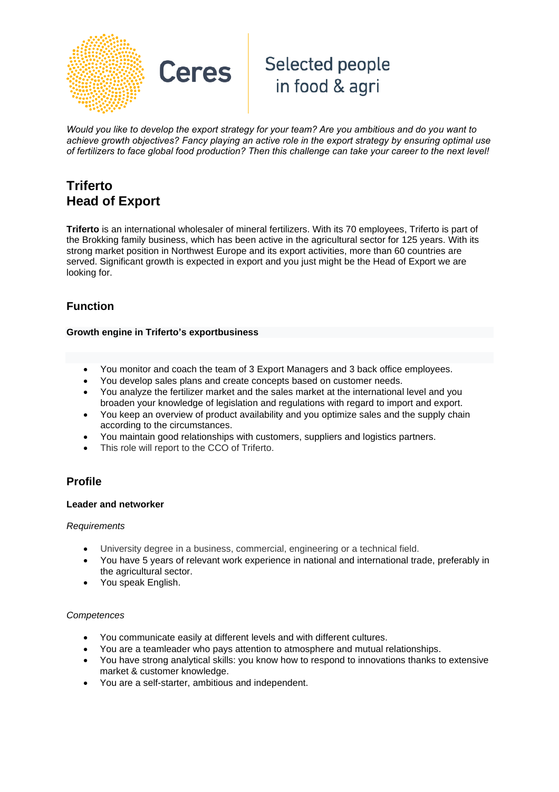

# Selected people in food & agri

Would you like to develop the export strategy for your team? Are you ambitious and do you want to *achieve growth objectives? Fancy playing an active role in the export strategy by ensuring optimal use* of fertilizers to face global food production? Then this challenge can take your career to the next level!

# **Triferto Head of Export**

**Triferto** is an international wholesaler of mineral fertilizers. With its 70 employees, Triferto is part of the Brokking family business, which has been active in the agricultural sector for 125 years. With its strong market position in Northwest Europe and its export activities, more than 60 countries are served. Significant growth is expected in export and you just might be the Head of Export we are looking for.

## **Function**

#### **Growth engine in Triferto's exportbusiness**

**Ceres** 

- You monitor and coach the team of 3 Export Managers and 3 back office employees.
- You develop sales plans and create concepts based on customer needs.
- You analyze the fertilizer market and the sales market at the international level and you broaden your knowledge of legislation and regulations with regard to import and export.
- You keep an overview of product availability and you optimize sales and the supply chain according to the circumstances.
- You maintain good relationships with customers, suppliers and logistics partners.
- This role will report to the CCO of Triferto.

## **Profile**

#### **Leader and networker**

#### *Requirements*

- University degree in a business, commercial, engineering or a technical field.
- You have 5 years of relevant work experience in national and international trade, preferably in the agricultural sector.
- You speak English.

#### *Competences*

- You communicate easily at different levels and with different cultures.
- You are a teamleader who pays attention to atmosphere and mutual relationships.
- You have strong analytical skills: you know how to respond to innovations thanks to extensive market & customer knowledge.
- You are a self-starter, ambitious and independent.